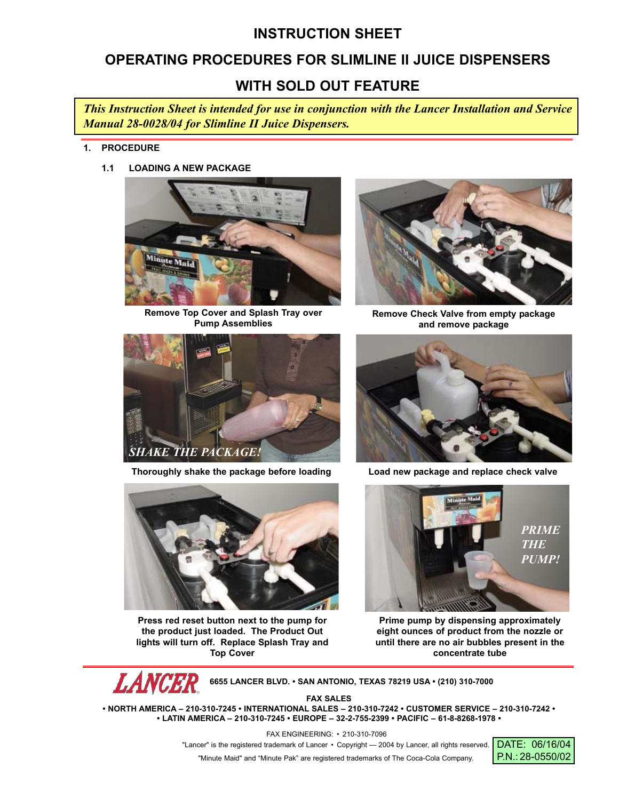# **INSTRUCTION SHEET**

# **OPERATING PROCEDURES FOR SLIMLINE II JUICE DISPENSERS**

# **WITH SOLD OUT FEATURE**

*This Instruction Sheet is intended for use in conjunction with the Lancer Installation and Service Manual 28-0028/04 for Slimline II Juice Dispensers.*

- **1. PROCEDURE**
	- **1.1 LOADING A NEW PACKAGE**



**Remove Top Cover and Splash Tray over Pump Assemblies**



**Thoroughly shake the package before loading Load new package and replace check valve**



**Press red reset button next to the pump for the product just loaded. The Product Out lights will turn off. Replace Splash Tray and Top Cover**



**Remove Check Valve from empty package and remove package**





**Prime pump by dispensing approximately eight ounces of product from the nozzle or until there are no air bubbles present in the concentrate tube**

**LANCER 6655 LANCER BLVD. • SAN ANTONIO, TEXAS 78219 USA • (210) 310-7000**

**FAX SALES**

**• NORTH AMERICA – 210-310-7245 • INTERNATIONAL SALES – 210-310-7242 • CUSTOMER SERVICE – 210-310-7242 • • LATIN AMERICA – 210-310-7245 • EUROPE – 32-2-755-2399 • PACIFIC – 61-8-8268-1978 •**

FAX ENGINEERING: • 210-310-7096

"Lancer" is the registered trademark of Lancer • Copyright - 2004 by Lancer, all rights reserved.

"Minute Maid" and "Minute Pak" are registered trademarks of The Coca-Cola Company.